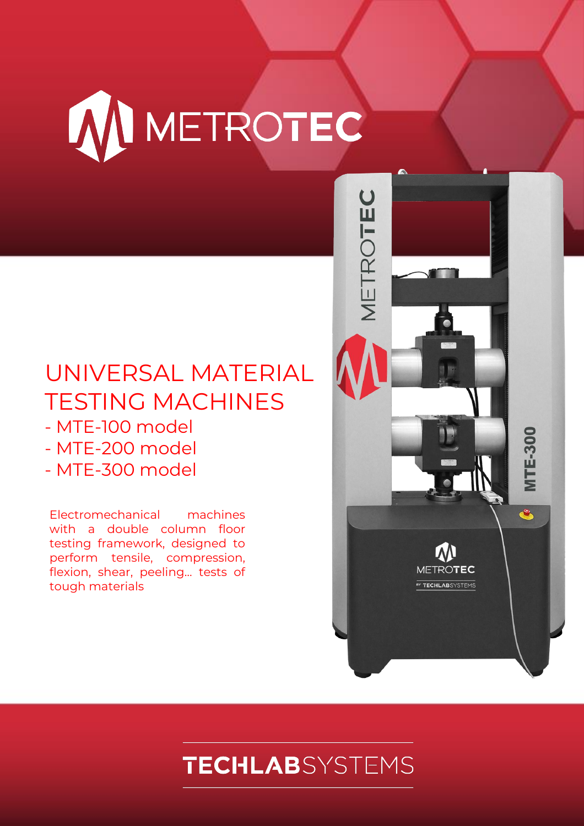# W METROTEC

## UNIVERSAL MATERIAL TESTING MACHINES

- MTE-100 model
- MTE-200 model
- MTE-300 model

Electromechanical machines with a double column floor testing framework, designed to perform tensile, compression, flexion, shear, peeling… tests of tough materials



## **TECHLAB**SYSTEMS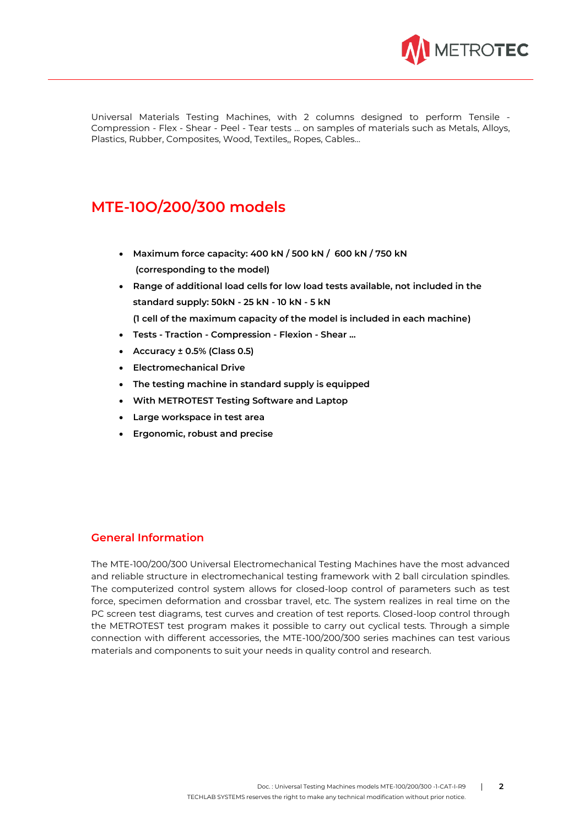

Universal Materials Testing Machines, with 2 columns designed to perform Tensile - Compression - Flex - Shear - Peel - Tear tests ... on samples of materials such as Metals, Alloys, Plastics, Rubber, Composites, Wood, Textiles,, Ropes, Cables…

### **MTE-10O/200/300 models**

- **Maximum force capacity: 400 kN / 500 kN / 600 kN / 750 kN (corresponding to the model)**
- **Range of additional load cells for low load tests available, not included in the standard supply: 50kN - 25 kN - 10 kN - 5 kN (1 cell of the maximum capacity of the model is included in each machine)**
- **Tests - Traction - Compression - Flexion - Shear ...**
- **Accuracy ± 0.5% (Class 0.5)**
- **Electromechanical Drive**
- **The testing machine in standard supply is equipped**
- **With METROTEST Testing Software and Laptop**
- **Large workspace in test area**
- **Ergonomic, robust and precise**

#### **General Information**

The MTE-100/200/300 Universal Electromechanical Testing Machines have the most advanced and reliable structure in electromechanical testing framework with 2 ball circulation spindles. The computerized control system allows for closed-loop control of parameters such as test force, specimen deformation and crossbar travel, etc. The system realizes in real time on the PC screen test diagrams, test curves and creation of test reports. Closed-loop control through the METROTEST test program makes it possible to carry out cyclical tests. Through a simple connection with different accessories, the MTE-100/200/300 series machines can test various materials and components to suit your needs in quality control and research.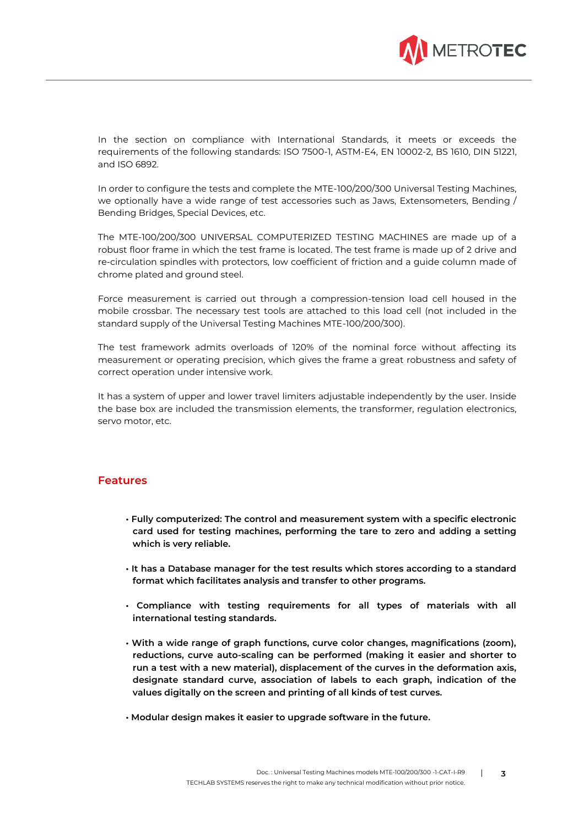

In the section on compliance with International Standards, it meets or exceeds the requirements of the following standards: ISO 7500-1, ASTM-E4, EN 10002-2, BS 1610, DIN 51221, and ISO 6892.

In order to configure the tests and complete the MTE-100/200/300 Universal Testing Machines, we optionally have a wide range of test accessories such as Jaws, Extensometers, Bending / Bending Bridges, Special Devices, etc.

The MTE-100/200/300 UNIVERSAL COMPUTERIZED TESTING MACHINES are made up of a robust floor frame in which the test frame is located. The test frame is made up of 2 drive and re-circulation spindles with protectors, low coefficient of friction and a guide column made of chrome plated and ground steel.

Force measurement is carried out through a compression-tension load cell housed in the mobile crossbar. The necessary test tools are attached to this load cell (not included in the standard supply of the Universal Testing Machines MTE-100/200/300).

The test framework admits overloads of 120% of the nominal force without affecting its measurement or operating precision, which gives the frame a great robustness and safety of correct operation under intensive work.

It has a system of upper and lower travel limiters adjustable independently by the user. Inside the base box are included the transmission elements, the transformer, regulation electronics, servo motor, etc.

#### **Features**

- **Fully computerized: The control and measurement system with a specific electronic card used for testing machines, performing the tare to zero and adding a setting which is very reliable.**
- **It has a Database manager for the test results which stores according to a standard format which facilitates analysis and transfer to other programs.**
- **Compliance with testing requirements for all types of materials with all international testing standards.**
- **With a wide range of graph functions, curve color changes, magnifications (zoom), reductions, curve auto-scaling can be performed (making it easier and shorter to run a test with a new material), displacement of the curves in the deformation axis, designate standard curve, association of labels to each graph, indication of the values digitally on the screen and printing of all kinds of test curves.**
- **Modular design makes it easier to upgrade software in the future.**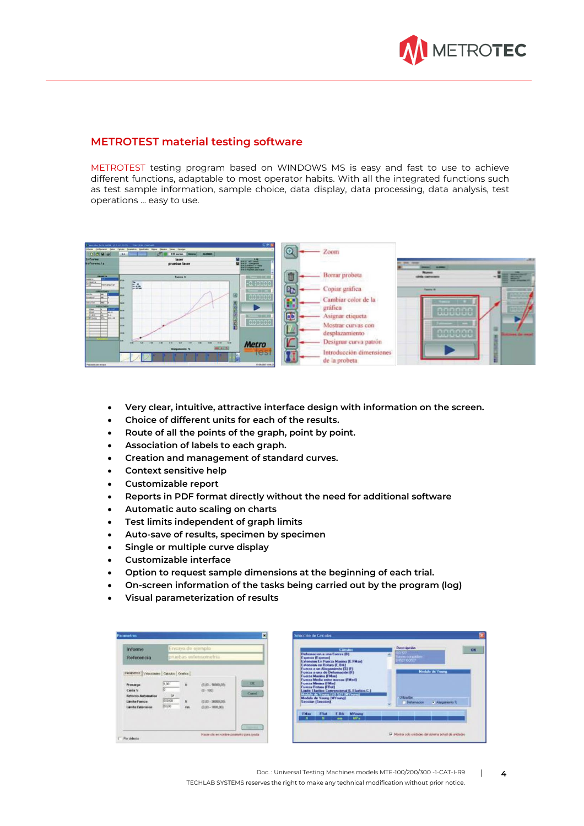

#### **METROTEST material testing software**

METROTEST testing program based on WINDOWS MS is easy and fast to use to achieve different functions, adaptable to most operator habits. With all the integrated functions such as test sample information, sample choice, data display, data processing, data analysis, test operations ... easy to use.

|                                                                   | Automatic Dalla HANN, 20, 8, 47, 1925). That care Liambard    | 反應數                           |                                                   |                           |                 |
|-------------------------------------------------------------------|---------------------------------------------------------------|-------------------------------|---------------------------------------------------|---------------------------|-----------------|
| plans Crépress<br><b>Baker</b><br>[0101914]                       | <b>Januar Classica</b><br>8.00 am/ain<br><b>MAINES</b><br>Sk. | O.                            | Zoom                                              |                           |                 |
| <b>Informe</b><br><i><u>meferencia</u></i>                        | laser<br>pruebas laser                                        | <b>Fillett</b>                | control of the control                            | <b>Diff. Street</b><br>ــ |                 |
| -----<br><b>A determine</b><br>Steats:                            | Fueron N                                                      | 面<br><b>SECTION RES</b>       | Borrar probeta                                    | <b>CALCULATION</b>        | <b>TELL</b>     |
| <b>Parterpilar</b><br>$-1$                                        | 臨<br><b>Map</b>                                               | $-0.10000$<br>EB<br>宮につけ      | Copiar urafica                                    |                           |                 |
| $ -$<br><b>INCOTER</b><br><b><i>ARRISTMENT</i></b>                | 闽<br>tem.                                                     | accoco                        | Cambiar color de la                               |                           |                 |
| <b>PEAK</b><br>19.44<br>4.14<br>and the<br><b>Print</b><br>ELL-ME | F<br><br><b>Laces</b>                                         | ED<br><b>SI RE 29</b>         | gráfica<br>Asignar etiqueta                       |                           |                 |
|                                                                   | ă<br>                                                         | $\alpha$ ccccc<br><b>Carl</b> | Mostrar curvas con                                |                           | ш               |
|                                                                   | <b>High</b><br>                                               |                               | desplazamiento                                    | anacad                    | <b>CONTRACT</b> |
|                                                                   | $-$<br>$-1185$<br><b>Alargamients N</b>                       | <b>Metro</b><br><b>TGS1</b>   | Designar curva patron<br>Introducción dimensiones |                           |                 |
| Precede payment                                                   |                                                               | <b><i>BUILDED TO ALCO</i></b> | de la probeta                                     |                           | B               |

- **Very clear, intuitive, attractive interface design with information on the screen.**
- **Choice of different units for each of the results.**
- **Route of all the points of the graph, point by point.**
- **Association of labels to each graph.**
- **Creation and management of standard curves.**
- **Context sensitive help**
- **Customizable report**
- **Reports in PDF format directly without the need for additional software**
- **Automatic auto scaling on charts**
- **Test limits independent of graph limits**
- **Auto-save of results, specimen by specimen**
- **Single or multiple curve display**
- **Customizable interface**
- **Option to request sample dimensions at the beginning of each trial.**
- **On-screen information of the tasks being carried out by the program (log)**
- **Visual parameterization of results**

| <b>Informe</b>                                                                                                                                 | Ensayo de ejemplo                    |                                 |                                                                                |                    |  |
|------------------------------------------------------------------------------------------------------------------------------------------------|--------------------------------------|---------------------------------|--------------------------------------------------------------------------------|--------------------|--|
| Referencia                                                                                                                                     | cittomozonata asidound               |                                 |                                                                                |                    |  |
| Parametros Velocidades Calculto Centica<br>Procarga<br>Caida %<br><b>Betorns Automatico</b><br><b>Limite Fuerza</b><br><b>Limite Estension</b> | [1,00]<br>10<br>×<br>600.00<br>00.00 | ŵ<br>$\mathbf{H}$<br><b>Has</b> | $(0.00 - 50000.001)$<br>$(0 - 100)$<br>(9.00 - 50030,00)<br>$(0.00 - 1000.00)$ | <b>DK</b><br>Cussi |  |

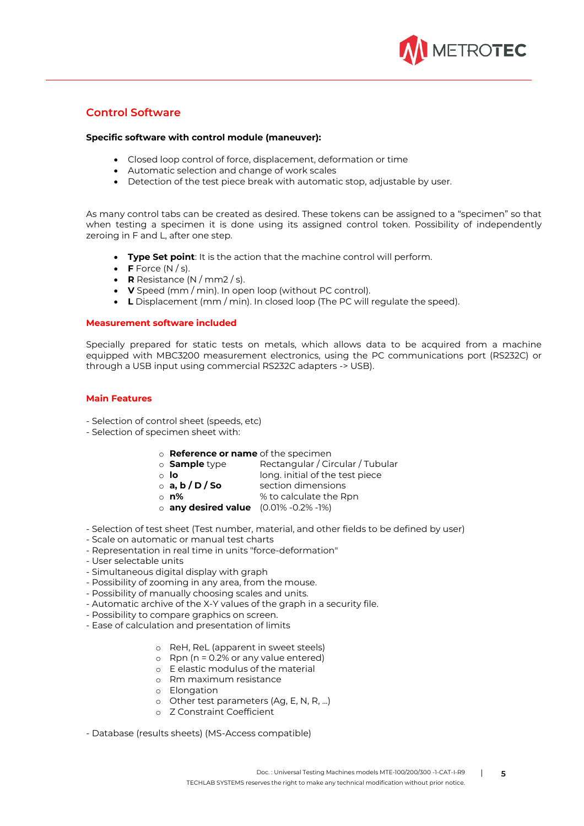

#### **Control Software**

#### **Specific software with control module (maneuver):**

- Closed loop control of force, displacement, deformation or time
- Automatic selection and change of work scales
- Detection of the test piece break with automatic stop, adjustable by user.

As many control tabs can be created as desired. These tokens can be assigned to a "specimen" so that when testing a specimen it is done using its assigned control token. Possibility of independently zeroing in F and L, after one step.

- **Type Set point**: It is the action that the machine control will perform.
- **F** Force  $(N / s)$ .
- **R** Resistance (N / mm2 / s).
- **V** Speed (mm / min). In open loop (without PC control).
- **L** Displacement (mm / min). In closed loop (The PC will regulate the speed).

#### **Measurement software included**

Specially prepared for static tests on metals, which allows data to be acquired from a machine equipped with MBC3200 measurement electronics, using the PC communications port (RS232C) or through a USB input using commercial RS232C adapters -> USB).

#### **Main Features**

- Selection of control sheet (speeds, etc)
- Selection of specimen sheet with:
	- o **Reference or name** of the specimen
	- o **Sample** type Rectangular / Circular / Tubular
		-
	- **o lo** long. initial of the test piece<br> **a, b / D / So** section dimensions section dimensions
		-
	- o **n%** % to calculate the Rpn
	- o **any desired value** (0.01% -0.2% -1%)
- Selection of test sheet (Test number, material, and other fields to be defined by user)
- Scale on automatic or manual test charts
- Representation in real time in units "force-deformation"
- User selectable units
- Simultaneous digital display with graph
- Possibility of zooming in any area, from the mouse.
- Possibility of manually choosing scales and units.
- Automatic archive of the X-Y values of the graph in a security file.
- Possibility to compare graphics on screen.
- Ease of calculation and presentation of limits
	- o ReH, ReL (apparent in sweet steels)
	- $\circ$  Rpn (n = 0.2% or any value entered)
	- o E elastic modulus of the material
	- o Rm maximum resistance
	- o Elongation
	- o Other test parameters (Ag, E, N, R, ...)
	- o Z Constraint Coefficient

- Database (results sheets) (MS-Access compatible)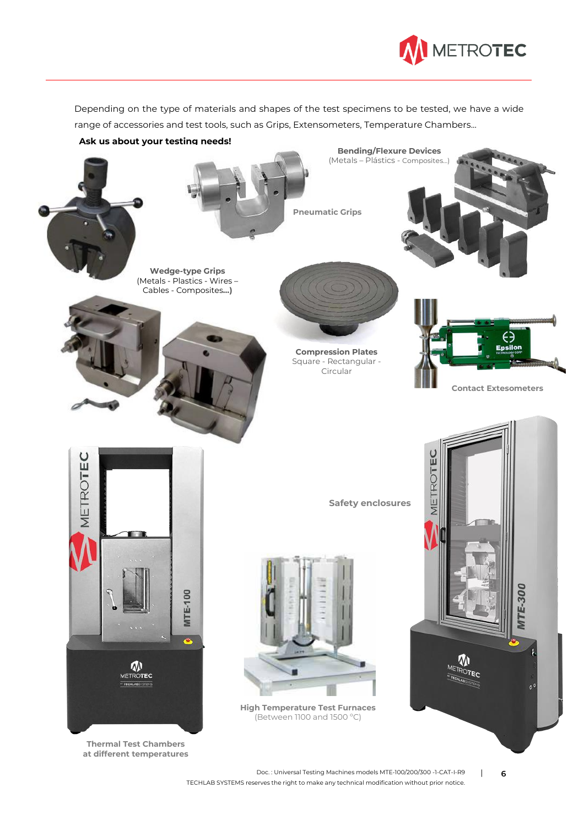

Depending on the type of materials and shapes of the test specimens to be tested, we have a wide range of accessories and test tools, such as Grips, Extensometers, Temperature Chambers...

**Ask us about your testing needs!**



**Compression Plates** Square - Rectangular - Circular





**Thermal Test Chambers at different temperatures** **Safety enclosures** 

**Bending/Flexure Devices** (Metals – Plástics - Composites…)



**High Temperature Test Furnaces** (Between 1100 and 1500 ºC)

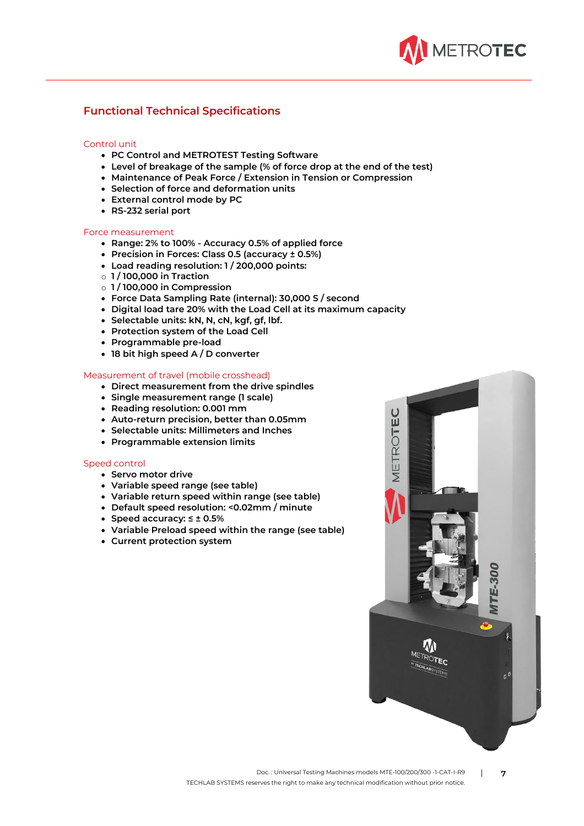

#### **Functional Technical Specifications**

#### Control unit

- **PC Control and METROTEST Testing Software**
- **Level of breakage of the sample (% of force drop at the end of the test)**
- **Maintenance of Peak Force / Extension in Tension or Compression**
- **Selection of force and deformation units**
- **External control mode by PC**
- **RS-232 serial port**

#### Force measurement

- **Range: 2% to 100% - Accuracy 0.5% of applied force**
- **Precision in Forces: Class 0.5 (accuracy ± 0.5%)**
- **Load reading resolution: 1 / 200,000 points:**
- o **1 / 100,000 in Traction**
- o **1 / 100,000 in Compression**
- **Force Data Sampling Rate (internal): 30,000 S / second**
- **Digital load tare 20% with the Load Cell at its maximum capacity**
- **Selectable units: kN, N, cN, kgf, gf, lbf.**
- **Protection system of the Load Cell**
- **Programmable pre-load**
- **18 bit high speed A / D converter**

#### Measurement of travel (mobile crosshead)

- **Direct measurement from the drive spindles**
- **Single measurement range (1 scale)**
- **Reading resolution: 0.001 mm**
- **Auto-return precision, better than 0.05mm**
- **Selectable units: Millimeters and Inches**
- **Programmable extension limits**

#### Speed control

- **Servo motor drive**
- **Variable speed range (see table)**
- **Variable return speed within range (see table)**
- **Default speed resolution: <0.02mm / minute**
- **Speed accuracy: ≤ ± 0.5%**
- **Variable Preload speed within the range (see table)**
- **Current protection system**